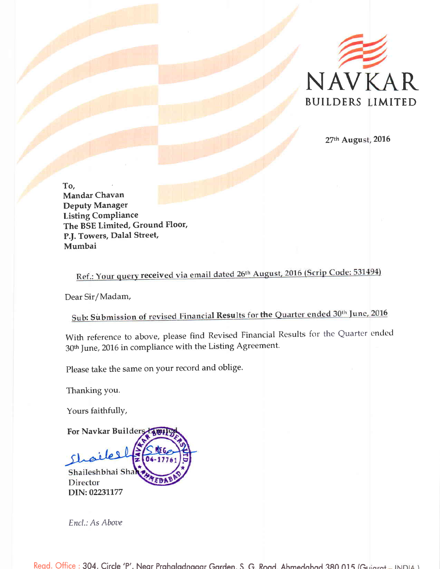

27th August, 2016

To, **Mandar Chavan Deputy Manager Listing Compliance** The BSE Limited, Ground Floor, P.J. Towers, Dalal Street, Mumbai

Ref.: Your query received via email dated 26th August, 2016 (Scrip Code: 531494)

Dear Sir/Madam,

Sub: Submission of revised Financial Results for the Quarter ended 30th June, 2016

With reference to above, please find Revised Financial Results for the Quarter ended 30<sup>th</sup> June, 2016 in compliance with the Listing Agreement.

Please take the same on your record and oblige.

Thanking you.

Yours faithfully,

For Navkar Builders  $\sqrt{2}$ Shaileshbhai Shah Director DIN: 02231177

Encl.: As Above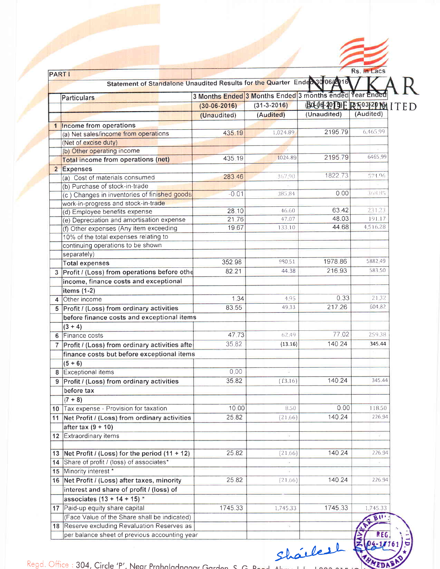| <b>PARTI</b>                   |                                                                           |                                                         |                   |                                                     | Rs. in Lacs |  |
|--------------------------------|---------------------------------------------------------------------------|---------------------------------------------------------|-------------------|-----------------------------------------------------|-------------|--|
|                                | Statement of Standalone Unaudited Results for the Quarter Endec30/06/2016 |                                                         |                   |                                                     |             |  |
|                                |                                                                           | 3 Months Ended 3 Months Ended 3 months ended Year Ended |                   |                                                     |             |  |
| Particulars                    |                                                                           |                                                         | $(31 - 3 - 2016)$ |                                                     |             |  |
|                                |                                                                           | $(30 - 06 - 2016)$                                      |                   | <b>BOLOG-4013)E RESO312P101 ITED</b><br>(Unaudited) | (Audited)   |  |
|                                |                                                                           | (Unaudited)                                             | (Audited)         |                                                     |             |  |
|                                | Income from operations                                                    |                                                         |                   |                                                     |             |  |
|                                | (a) Net sales/income from operations                                      | 435.19                                                  | 1,024.89          | 2195.79                                             | 6,465,99    |  |
| (Net of excise duty)           |                                                                           |                                                         |                   |                                                     |             |  |
|                                | (b) Other operating income                                                |                                                         |                   |                                                     | 6465.99     |  |
|                                | Total income from operations (net)                                        | 435.19                                                  | 1024.89           | 2195.79                                             |             |  |
| 2 Expenses                     |                                                                           |                                                         |                   |                                                     |             |  |
|                                | (a) Cost of materials consumed                                            | 283 46                                                  | 367.90            | 1822.73                                             | 574.96      |  |
|                                | (b) Purchase of stock-in-trade                                            |                                                         |                   |                                                     |             |  |
|                                | (c) Changes in inventories of finished goods                              | $-0.01$                                                 | 38584             | 0.00                                                | 368.85      |  |
|                                | work-in-progress and stock-in-trade                                       |                                                         |                   |                                                     |             |  |
|                                | (d) Employee benefits expense                                             | 28.10                                                   | 46.60             | 63.42                                               | 231.23      |  |
|                                | (e) Depreciation and amortisation expense                                 | 21.76                                                   | 47.07             | 48.03                                               | 191.17      |  |
|                                | (f) Other expenses (Any item exceeding                                    | 19.67                                                   | 133.10            | 44.68                                               | 4,516.28    |  |
|                                | 10% of the total expenses relating to                                     |                                                         |                   |                                                     |             |  |
|                                | continuing operations to be shown                                         |                                                         |                   |                                                     |             |  |
| separately)                    |                                                                           |                                                         |                   |                                                     |             |  |
| <b>Total expenses</b>          |                                                                           | 352.98                                                  | 980.51            | 1978.86                                             | 5882.49     |  |
| 3                              | Profit / (Loss) from operations before othe                               | 82.21                                                   | 44.38             | 216.93                                              | 583.50      |  |
|                                | income, finance costs and exceptional                                     |                                                         |                   |                                                     |             |  |
| items $(1-2)$                  |                                                                           |                                                         |                   |                                                     |             |  |
| Other income<br>$\overline{4}$ |                                                                           | 1.34                                                    | 4.95              | 0.33                                                | 21.32       |  |
| 5                              | Profit / (Loss) from ordinary activities                                  | 83.55                                                   | 49.33             | 217.26                                              | 604.82      |  |
|                                | before finance costs and exceptional items                                |                                                         |                   |                                                     |             |  |
| $(3 + 4)$                      |                                                                           |                                                         |                   |                                                     |             |  |
| 6 Finance costs                |                                                                           | 47.73                                                   | 62.49             | 77.02                                               | 25938       |  |
|                                |                                                                           |                                                         |                   | 140.24                                              | 345.44      |  |
|                                | Profit / (Loss) from ordinary activities afte                             | 35.82                                                   | (13.16)           |                                                     |             |  |
|                                | finance costs but before exceptional items                                |                                                         |                   |                                                     |             |  |
| $(5 + 6)$                      |                                                                           |                                                         |                   |                                                     |             |  |
| Exceptional items<br>8         |                                                                           | 0.00                                                    |                   |                                                     |             |  |
|                                | 9 Profit / (Loss) from ordinary activities                                | 35.82                                                   | (13.16)           | 140.24                                              | 345.44      |  |
| before tax                     |                                                                           |                                                         |                   |                                                     |             |  |
| $(7 + 8)$                      |                                                                           |                                                         |                   |                                                     |             |  |
|                                | 10 Tax expense - Provision for taxation                                   | 10.00                                                   | 8.50              | 0.00                                                | 118.50      |  |
| 11.                            | Net Profit / (Loss) from ordinary activities                              | 25.82                                                   | (21.66)           | 140.24                                              | 226.94      |  |
| after tax $(9 + 10)$           |                                                                           |                                                         |                   |                                                     |             |  |
| 12 Extraordinary items         |                                                                           |                                                         |                   |                                                     |             |  |
|                                |                                                                           |                                                         |                   |                                                     |             |  |
| 13                             | Net Profit / (Loss) for the period $(11 + 12)$                            | 25.82                                                   | (21.66)           | 140.24                                              | 226.94      |  |
|                                | 14 Share of profit / (loss) of associates*                                |                                                         |                   |                                                     |             |  |
| 15 Minority interest *         |                                                                           |                                                         |                   |                                                     |             |  |
|                                |                                                                           | 25.82                                                   |                   | 140,24                                              | 226.94      |  |
|                                | 16 Net Profit / (Loss) after taxes, minority                              |                                                         | (21.66)           |                                                     |             |  |
|                                | interest and share of profit / (loss) of                                  |                                                         |                   |                                                     |             |  |
|                                | associates $(13 + 14 + 15)^*$                                             |                                                         |                   |                                                     |             |  |
|                                | 17 Paid-up equity share capital                                           | 1745.33                                                 | 1,745.33          | 1745.33                                             | 1,745.33    |  |
|                                | (Face Value of the Share shall be indicated)                              |                                                         |                   |                                                     | BU          |  |
|                                | 18 Reserve excluding Revaluation Reserves as                              |                                                         | Ξ                 |                                                     |             |  |

Sharlest

**IMEDABA** Regd. Office : 304, Circle 'P', Near Prahaladnagar Garden, S. G. R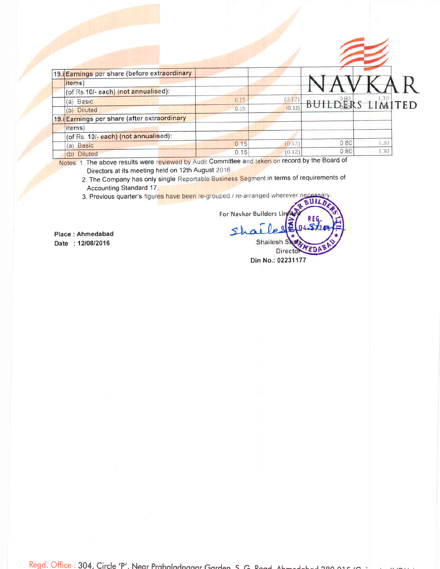| <i>items</i> )                      |                                                                                                          |        |      |      |                         |
|-------------------------------------|----------------------------------------------------------------------------------------------------------|--------|------|------|-------------------------|
| (of Rs.10/- each) (not annualised): |                                                                                                          |        |      |      |                         |
|                                     | 0.15                                                                                                     | (0.12) |      |      |                         |
| (b) Diluted                         | 0.15                                                                                                     | (0.12) |      |      |                         |
|                                     |                                                                                                          |        |      |      |                         |
| items)                              |                                                                                                          |        |      |      |                         |
| (of Rs. 10/-each) (not annualised): |                                                                                                          |        |      |      |                         |
| Basic<br>(a)                        | 0.15                                                                                                     | (0.12) |      | 1.30 |                         |
| <b>Diluted</b><br>(b)               | 0.15                                                                                                     | (0.12) | 0.80 | 1.30 |                         |
|                                     | 19. Earnings per share (before extraordinary<br>(a) Basic<br>19. Earnings per share (after extraordinary |        |      | 0.80 | <b>BUILDERS LIMITED</b> |

Notes: 1. The above results were reviewed by Audit Committee and taken on record by the Board of

- Directors at its meeting held on 12th August 2016 2. The Company has only single Reportable Business Segment in terms of requirements of
	- **Accounting Standard 17.**

3. Previous quarter's figures have been re-grouped / re-arranged wherever neces UIL

Place: Ahmedabad

Date: 12/08/2016

For Navkar Builders Line Shal

Din No.: 02231177

Directo

YED

Shailesh S